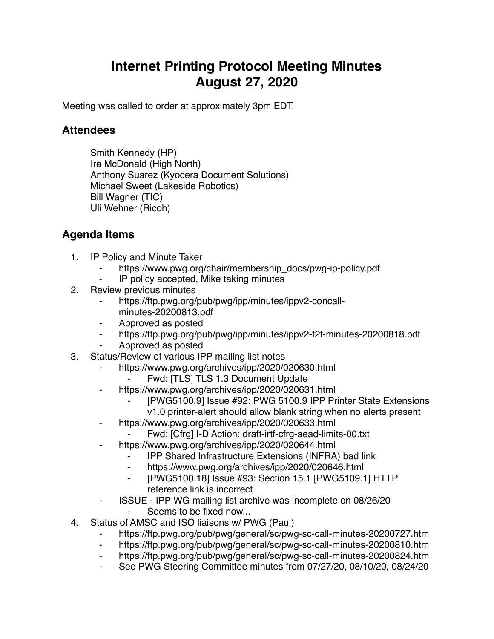## **Internet Printing Protocol Meeting Minutes August 27, 2020**

Meeting was called to order at approximately 3pm EDT.

## **Attendees**

Smith Kennedy (HP) Ira McDonald (High North) Anthony Suarez (Kyocera Document Solutions) Michael Sweet (Lakeside Robotics) Bill Wagner (TIC) Uli Wehner (Ricoh)

## **Agenda Items**

- 1. IP Policy and Minute Taker
	- https://www.pwg.org/chair/membership\_docs/pwg-ip-policy.pdf
	- IP policy accepted, Mike taking minutes
- 2. Review previous minutes
	- https://ftp.pwg.org/pub/pwg/ipp/minutes/ippv2-concallminutes-20200813.pdf
	- ⁃ Approved as posted
	- https://ftp.pwg.org/pub/pwg/ipp/minutes/ippv2-f2f-minutes-20200818.pdf
	- ⁃ Approved as posted
- 3. Status/Review of various IPP mailing list notes
	- https://www.pwg.org/archives/ipp/2020/020630.html
		- Fwd: [TLS] TLS 1.3 Document Update
	- ⁃ https://www.pwg.org/archives/ipp/2020/020631.html
		- [PWG5100.9] Issue #92: PWG 5100.9 IPP Printer State Extensions
	- v1.0 printer-alert should allow blank string when no alerts present ⁃ https://www.pwg.org/archives/ipp/2020/020633.html
		-
		- Fwd: [Cfrg] I-D Action: draft-irtf-cfrg-aead-limits-00.txt
	- https://www.pwg.org/archives/ipp/2020/020644.html
		- ⁃ IPP Shared Infrastructure Extensions (INFRA) bad link
		- ⁃ https://www.pwg.org/archives/ipp/2020/020646.html
		- ⁃ [PWG5100.18] Issue #93: Section 15.1 [PWG5109.1] HTTP reference link is incorrect
	- ⁃ ISSUE IPP WG mailing list archive was incomplete on 08/26/20
		- Seems to be fixed now...
- 4. Status of AMSC and ISO liaisons w/ PWG (Paul)
	- https://ftp.pwg.org/pub/pwg/general/sc/pwg-sc-call-minutes-20200727.htm
	- ⁃ https://ftp.pwg.org/pub/pwg/general/sc/pwg-sc-call-minutes-20200810.htm
	- ⁃ https://ftp.pwg.org/pub/pwg/general/sc/pwg-sc-call-minutes-20200824.htm
	- See PWG Steering Committee minutes from 07/27/20, 08/10/20, 08/24/20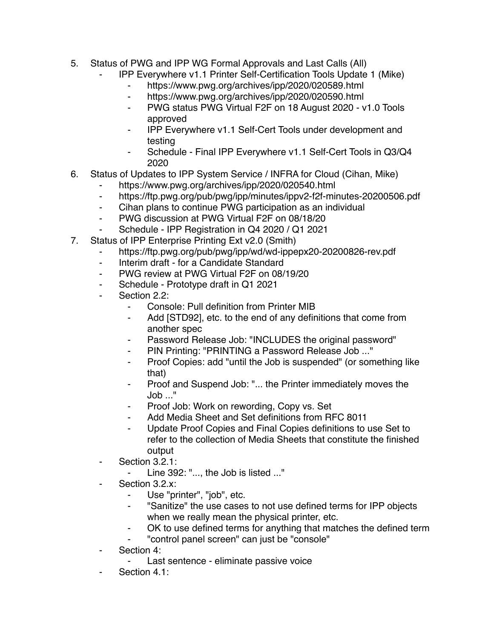- 5. Status of PWG and IPP WG Formal Approvals and Last Calls (All)
	- ⁃ IPP Everywhere v1.1 Printer Self-Certification Tools Update 1 (Mike)
		- ⁃ https://www.pwg.org/archives/ipp/2020/020589.html
		- ⁃ https://www.pwg.org/archives/ipp/2020/020590.html
		- ⁃ PWG status PWG Virtual F2F on 18 August 2020 v1.0 Tools approved
		- ⁃ IPP Everywhere v1.1 Self-Cert Tools under development and testing
		- Schedule Final IPP Everywhere v1.1 Self-Cert Tools in Q3/Q4 2020
- 6. Status of Updates to IPP System Service / INFRA for Cloud (Cihan, Mike)
	- ⁃ https://www.pwg.org/archives/ipp/2020/020540.html
	- ⁃ https://ftp.pwg.org/pub/pwg/ipp/minutes/ippv2-f2f-minutes-20200506.pdf
	- ⁃ Cihan plans to continue PWG participation as an individual
	- ⁃ PWG discussion at PWG Virtual F2F on 08/18/20
	- Schedule IPP Registration in Q4 2020 / Q1 2021
- 7. Status of IPP Enterprise Printing Ext v2.0 (Smith)
	- https://ftp.pwg.org/pub/pwg/ipp/wd/wd-ippepx20-20200826-rev.pdf
	- ⁃ Interim draft for a Candidate Standard
	- ⁃ PWG review at PWG Virtual F2F on 08/19/20
	- Schedule Prototype draft in Q1 2021
	- Section 2.2:
		- Console: Pull definition from Printer MIB
		- ⁃ Add [STD92], etc. to the end of any definitions that come from another spec
		- Password Release Job: "INCLUDES the original password"
		- PIN Printing: "PRINTING a Password Release Job ..."
		- Proof Copies: add "until the Job is suspended" (or something like that)
		- Proof and Suspend Job: "... the Printer immediately moves the Job ..."
		- ⁃ Proof Job: Work on rewording, Copy vs. Set
		- Add Media Sheet and Set definitions from RFC 8011
		- Update Proof Copies and Final Copies definitions to use Set to refer to the collection of Media Sheets that constitute the finished output
	- ⁃ Section 3.2.1:
		- Line 392: "..., the Job is listed ..."
	- Section 3.2.x:
		- ⁃ Use "printer", "job", etc.
		- ⁃ "Sanitize" the use cases to not use defined terms for IPP objects when we really mean the physical printer, etc.
		- OK to use defined terms for anything that matches the defined term
		- ⁃ "control panel screen" can just be "console"
	- ⁃ Section 4:
		- Last sentence eliminate passive voice
	- Section 4.1: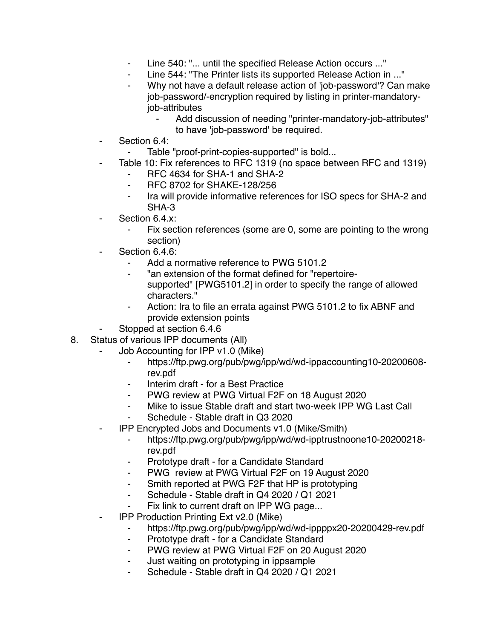- Line 540: "... until the specified Release Action occurs ..."
- Line 544: "The Printer lists its supported Release Action in ..."
- Why not have a default release action of 'job-password'? Can make job-password/-encryption required by listing in printer-mandatoryjob-attributes
	- Add discussion of needing "printer-mandatory-job-attributes" to have 'job-password' be required.
- Section 6.4:
	- Table "proof-print-copies-supported" is bold...
- Table 10: Fix references to RFC 1319 (no space between RFC and 1319)
	- ⁃ RFC 4634 for SHA-1 and SHA-2
	- ⁃ RFC 8702 for SHAKE-128/256
	- Ira will provide informative references for ISO specs for SHA-2 and SHA-3
- Section 6.4.x:
	- Fix section references (some are 0, some are pointing to the wrong section)
- Section 6.4.6:
	- Add a normative reference to PWG 5101.2
	- ⁃ "an extension of the format defined for "repertoiresupported" [PWG5101.2] in order to specify the range of allowed characters."
	- Action: Ira to file an errata against PWG 5101.2 to fix ABNF and provide extension points
- Stopped at section 6.4.6
- 8. Status of various IPP documents (All)
	- Job Accounting for IPP v1.0 (Mike)
		- ⁃ https://ftp.pwg.org/pub/pwg/ipp/wd/wd-ippaccounting10-20200608 rev.pdf
		- ⁃ Interim draft for a Best Practice
		- PWG review at PWG Virtual F2F on 18 August 2020
		- ⁃ Mike to issue Stable draft and start two-week IPP WG Last Call
		- Schedule Stable draft in Q3 2020
	- ⁃ IPP Encrypted Jobs and Documents v1.0 (Mike/Smith)
		- ⁃ https://ftp.pwg.org/pub/pwg/ipp/wd/wd-ipptrustnoone10-20200218 rev.pdf
		- ⁃ Prototype draft for a Candidate Standard
		- ⁃ PWG review at PWG Virtual F2F on 19 August 2020
		- ⁃ Smith reported at PWG F2F that HP is prototyping
		- ⁃ Schedule Stable draft in Q4 2020 / Q1 2021
		- Fix link to current draft on IPP WG page...
	- **IPP Production Printing Ext v2.0 (Mike)** 
		- https://ftp.pwg.org/pub/pwg/ipp/wd/wd-ippppx20-20200429-rev.pdf
		- ⁃ Prototype draft for a Candidate Standard
		- ⁃ PWG review at PWG Virtual F2F on 20 August 2020
		- ⁃ Just waiting on prototyping in ippsample
		- Schedule Stable draft in Q4 2020 / Q1 2021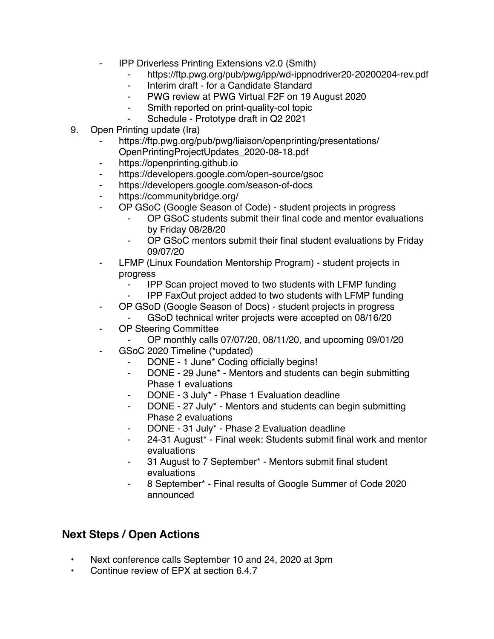- **IPP Driverless Printing Extensions v2.0 (Smith)** 
	- ⁃ https://ftp.pwg.org/pub/pwg/ipp/wd-ippnodriver20-20200204-rev.pdf
	- Interim draft for a Candidate Standard
	- ⁃ PWG review at PWG Virtual F2F on 19 August 2020
	- ⁃ Smith reported on print-quality-col topic
	- Schedule Prototype draft in Q2 2021
- 9. Open Printing update (Ira)
	- https://ftp.pwg.org/pub/pwg/liaison/openprinting/presentations/ OpenPrintingProjectUpdates\_2020-08-18.pdf
	- ⁃ https://openprinting.github.io
	- ⁃ https://developers.google.com/open-source/gsoc
	- ⁃ https://developers.google.com/season-of-docs
	- https://communitybridge.org/
	- ⁃ OP GSoC (Google Season of Code) student projects in progress
		- OP GSoC students submit their final code and mentor evaluations by Friday 08/28/20
		- ⁃ OP GSoC mentors submit their final student evaluations by Friday 09/07/20
	- LFMP (Linux Foundation Mentorship Program) student projects in progress
		- **Face IPP Scan project moved to two students with LFMP funding<br>Face IPP FaxOut project added to two students with LFMP funding**
		- ⁃ IPP FaxOut project added to two students with LFMP funding
	- OP GSoD (Google Season of Docs) student projects in progress
	- GSoD technical writer projects were accepted on 08/16/20
	- OP Steering Committee
		- ⁃ OP monthly calls 07/07/20, 08/11/20, and upcoming 09/01/20
	- GSoC 2020 Timeline (\*updated)
		- DONE 1 June\* Coding officially begins!
		- DONE 29 June<sup>\*</sup> Mentors and students can begin submitting Phase 1 evaluations
		- DONE 3 July\* Phase 1 Evaluation deadline
		- ⁃ DONE 27 July\* Mentors and students can begin submitting Phase 2 evaluations
		- DONE 31 July\* Phase 2 Evaluation deadline
		- ⁃ 24-31 August\* Final week: Students submit final work and mentor evaluations
		- 31 August to 7 September\* Mentors submit final student evaluations
		- ⁃ 8 September\* Final results of Google Summer of Code 2020 announced

## **Next Steps / Open Actions**

- Next conference calls September 10 and 24, 2020 at 3pm
- Continue review of EPX at section 6.4.7